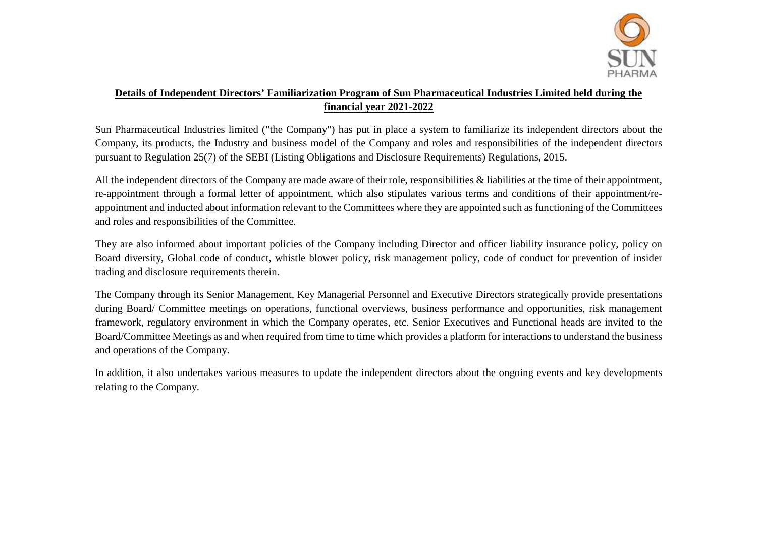

## **Details of Independent Directors' Familiarization Program of Sun Pharmaceutical Industries Limited held during the financial year 2021-2022**

Sun Pharmaceutical Industries limited ("the Company") has put in place a system to familiarize its independent directors about the Company, its products, the Industry and business model of the Company and roles and responsibilities of the independent directors pursuant to Regulation 25(7) of the SEBI (Listing Obligations and Disclosure Requirements) Regulations, 2015.

All the independent directors of the Company are made aware of their role, responsibilities & liabilities at the time of their appointment, re-appointment through a formal letter of appointment, which also stipulates various terms and conditions of their appointment/reappointment and inducted about information relevant to the Committees where they are appointed such as functioning of the Committees and roles and responsibilities of the Committee.

They are also informed about important policies of the Company including Director and officer liability insurance policy, policy on Board diversity, Global code of conduct, whistle blower policy, risk management policy, code of conduct for prevention of insider trading and disclosure requirements therein.

The Company through its Senior Management, Key Managerial Personnel and Executive Directors strategically provide presentations during Board/ Committee meetings on operations, functional overviews, business performance and opportunities, risk management framework, regulatory environment in which the Company operates, etc. Senior Executives and Functional heads are invited to the Board/Committee Meetings as and when required from time to time which provides a platform for interactions to understand the business and operations of the Company.

In addition, it also undertakes various measures to update the independent directors about the ongoing events and key developments relating to the Company.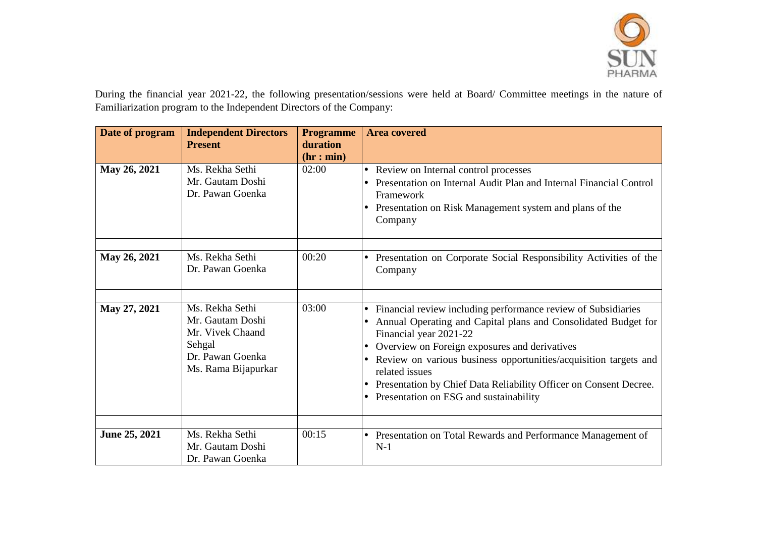

During the financial year 2021-22, the following presentation/sessions were held at Board/ Committee meetings in the nature of Familiarization program to the Independent Directors of the Company:

| Date of program | <b>Independent Directors</b><br><b>Present</b>                                                               | <b>Programme</b><br>duration | <b>Area covered</b>                                                                                                                                                                                                                                                                                                                                                                                                                                                 |
|-----------------|--------------------------------------------------------------------------------------------------------------|------------------------------|---------------------------------------------------------------------------------------------------------------------------------------------------------------------------------------------------------------------------------------------------------------------------------------------------------------------------------------------------------------------------------------------------------------------------------------------------------------------|
| May 26, 2021    | Ms. Rekha Sethi<br>Mr. Gautam Doshi<br>Dr. Pawan Goenka                                                      | (hr: min)<br>02:00           | Review on Internal control processes<br>$\bullet$<br>Presentation on Internal Audit Plan and Internal Financial Control<br>Framework<br>Presentation on Risk Management system and plans of the<br>$\bullet$<br>Company                                                                                                                                                                                                                                             |
| May 26, 2021    | Ms. Rekha Sethi<br>Dr. Pawan Goenka                                                                          | 00:20                        | Presentation on Corporate Social Responsibility Activities of the<br>Company                                                                                                                                                                                                                                                                                                                                                                                        |
| May 27, 2021    | Ms. Rekha Sethi<br>Mr. Gautam Doshi<br>Mr. Vivek Chaand<br>Sehgal<br>Dr. Pawan Goenka<br>Ms. Rama Bijapurkar | 03:00                        | Financial review including performance review of Subsidiaries<br>$\bullet$<br>Annual Operating and Capital plans and Consolidated Budget for<br>Financial year 2021-22<br>Overview on Foreign exposures and derivatives<br>$\bullet$<br>Review on various business opportunities/acquisition targets and<br>$\bullet$<br>related issues<br>Presentation by Chief Data Reliability Officer on Consent Decree.<br>Presentation on ESG and sustainability<br>$\bullet$ |
| June 25, 2021   | Ms. Rekha Sethi<br>Mr. Gautam Doshi<br>Dr. Pawan Goenka                                                      | 00:15                        | Presentation on Total Rewards and Performance Management of<br>$N-1$                                                                                                                                                                                                                                                                                                                                                                                                |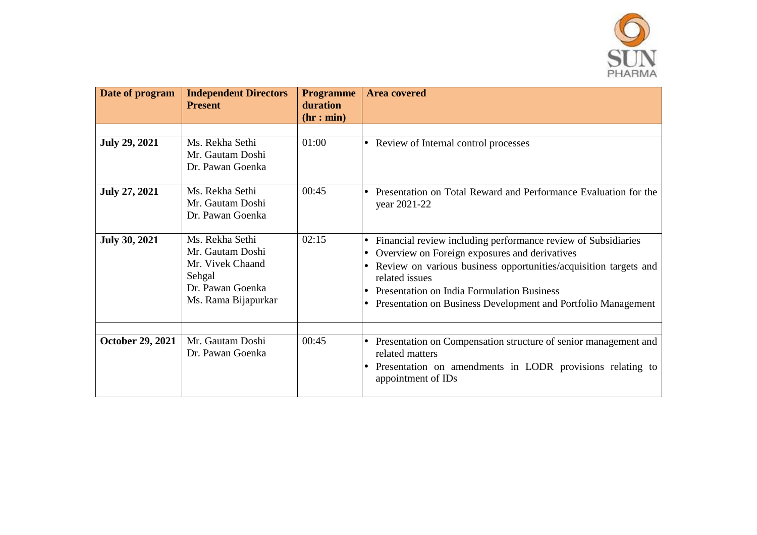

| Date of program         | <b>Independent Directors</b><br><b>Present</b>                                                               | <b>Programme</b><br>duration | <b>Area covered</b>                                                                                                                                                                                                                                                                                                                                                     |  |  |
|-------------------------|--------------------------------------------------------------------------------------------------------------|------------------------------|-------------------------------------------------------------------------------------------------------------------------------------------------------------------------------------------------------------------------------------------------------------------------------------------------------------------------------------------------------------------------|--|--|
|                         |                                                                                                              | (hr: min)                    |                                                                                                                                                                                                                                                                                                                                                                         |  |  |
|                         |                                                                                                              |                              |                                                                                                                                                                                                                                                                                                                                                                         |  |  |
| <b>July 29, 2021</b>    | Ms. Rekha Sethi<br>Mr. Gautam Doshi<br>Dr. Pawan Goenka                                                      | 01:00                        | • Review of Internal control processes                                                                                                                                                                                                                                                                                                                                  |  |  |
| <b>July 27, 2021</b>    | Ms. Rekha Sethi<br>Mr. Gautam Doshi<br>Dr. Pawan Goenka                                                      | 00:45                        | Presentation on Total Reward and Performance Evaluation for the<br>year 2021-22                                                                                                                                                                                                                                                                                         |  |  |
| <b>July 30, 2021</b>    | Ms. Rekha Sethi<br>Mr. Gautam Doshi<br>Mr. Vivek Chaand<br>Sehgal<br>Dr. Pawan Goenka<br>Ms. Rama Bijapurkar | 02:15                        | Financial review including performance review of Subsidiaries<br>$\bullet$<br>Overview on Foreign exposures and derivatives<br>$\bullet$<br>Review on various business opportunities/acquisition targets and<br>$\bullet$<br>related issues<br>Presentation on India Formulation Business<br>Presentation on Business Development and Portfolio Management<br>$\bullet$ |  |  |
| <b>October 29, 2021</b> | Mr. Gautam Doshi<br>Dr. Pawan Goenka                                                                         | 00:45                        | Presentation on Compensation structure of senior management and<br>$\bullet$<br>related matters<br>Presentation on amendments in LODR provisions relating to<br>$\bullet$<br>appointment of IDs                                                                                                                                                                         |  |  |
|                         |                                                                                                              |                              |                                                                                                                                                                                                                                                                                                                                                                         |  |  |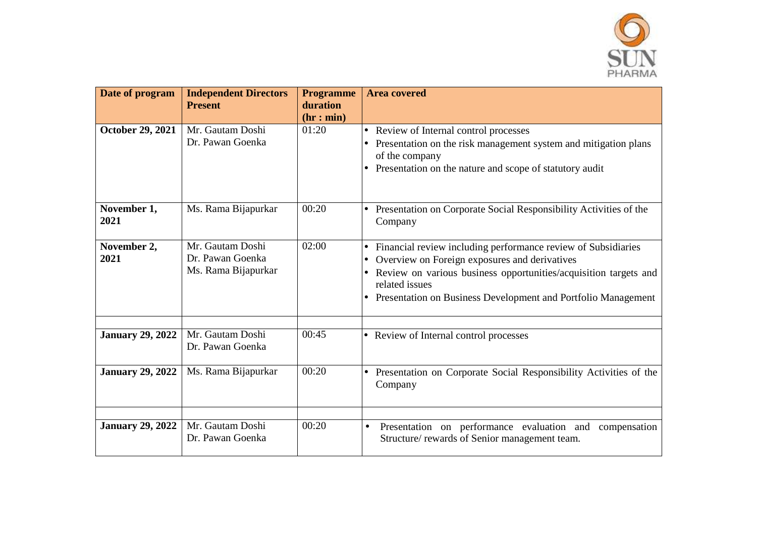

| Date of program         | <b>Independent Directors</b><br><b>Present</b>              | <b>Programme</b><br>duration<br>(hr: min) | <b>Area covered</b>                                                                                                                                                                                                                                                                             |  |  |  |
|-------------------------|-------------------------------------------------------------|-------------------------------------------|-------------------------------------------------------------------------------------------------------------------------------------------------------------------------------------------------------------------------------------------------------------------------------------------------|--|--|--|
| <b>October 29, 2021</b> | Mr. Gautam Doshi<br>Dr. Pawan Goenka                        | 01:20                                     | Review of Internal control processes<br>$\bullet$<br>Presentation on the risk management system and mitigation plans<br>of the company<br>Presentation on the nature and scope of statutory audit<br>$\bullet$                                                                                  |  |  |  |
| November 1,<br>2021     | Ms. Rama Bijapurkar                                         | 00:20                                     | Presentation on Corporate Social Responsibility Activities of the<br>Company                                                                                                                                                                                                                    |  |  |  |
| November 2,<br>2021     | Mr. Gautam Doshi<br>Dr. Pawan Goenka<br>Ms. Rama Bijapurkar | 02:00                                     | Financial review including performance review of Subsidiaries<br>$\bullet$<br>Overview on Foreign exposures and derivatives<br>$\bullet$<br>Review on various business opportunities/acquisition targets and<br>related issues<br>Presentation on Business Development and Portfolio Management |  |  |  |
| <b>January 29, 2022</b> | Mr. Gautam Doshi<br>Dr. Pawan Goenka                        | 00:45                                     | • Review of Internal control processes                                                                                                                                                                                                                                                          |  |  |  |
| <b>January 29, 2022</b> | Ms. Rama Bijapurkar                                         | 00:20                                     | Presentation on Corporate Social Responsibility Activities of the<br>Company                                                                                                                                                                                                                    |  |  |  |
| <b>January 29, 2022</b> | Mr. Gautam Doshi<br>Dr. Pawan Goenka                        | 00:20                                     | Presentation on performance evaluation and compensation<br>$\bullet$<br>Structure/rewards of Senior management team.                                                                                                                                                                            |  |  |  |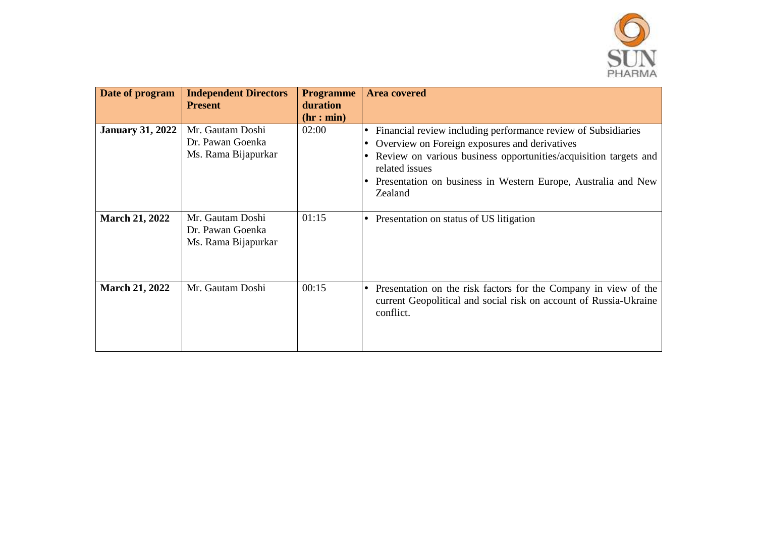

| Date of program         | <b>Independent Directors</b><br><b>Present</b>              | <b>Programme</b><br>duration<br>(hr: min) | <b>Area covered</b>                                                                                                                                                                                                                                                                                 |
|-------------------------|-------------------------------------------------------------|-------------------------------------------|-----------------------------------------------------------------------------------------------------------------------------------------------------------------------------------------------------------------------------------------------------------------------------------------------------|
| <b>January 31, 2022</b> | Mr. Gautam Doshi<br>Dr. Pawan Goenka<br>Ms. Rama Bijapurkar | 02:00                                     | Financial review including performance review of Subsidiaries<br>lo<br>Overview on Foreign exposures and derivatives<br>$\bullet$<br>Review on various business opportunities/acquisition targets and<br>related issues<br>Presentation on business in Western Europe, Australia and New<br>Zealand |
| <b>March 21, 2022</b>   | Mr. Gautam Doshi<br>Dr. Pawan Goenka<br>Ms. Rama Bijapurkar | 01:15                                     | Presentation on status of US litigation<br>$\bullet$                                                                                                                                                                                                                                                |
| <b>March 21, 2022</b>   | Mr. Gautam Doshi                                            | 00:15                                     | Presentation on the risk factors for the Company in view of the<br>l e<br>current Geopolitical and social risk on account of Russia-Ukraine<br>conflict.                                                                                                                                            |